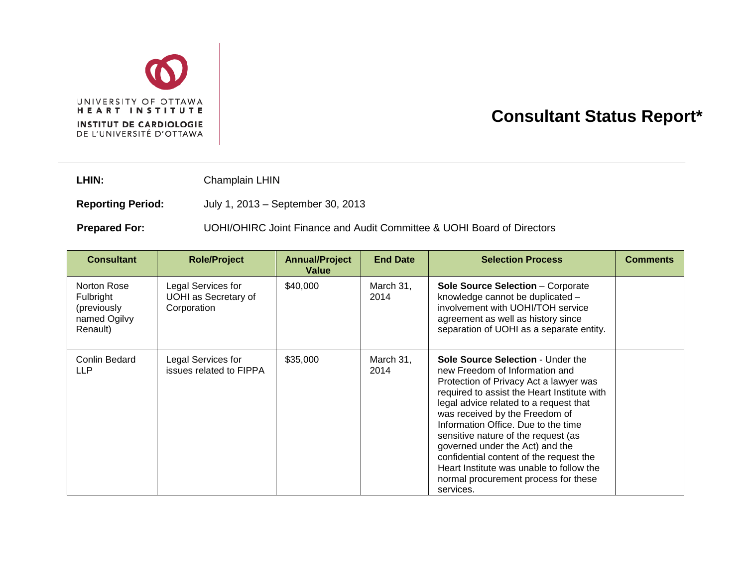

## **Consultant Status Report\***

LHIN: Champlain LHIN

**Reporting Period:** July 1, 2013 – September 30, 2013

**Prepared For:** UOHI/OHIRC Joint Finance and Audit Committee & UOHI Board of Directors

| <b>Consultant</b>                                                   | <b>Role/Project</b>                                       | <b>Annual/Project</b><br>Value | <b>End Date</b>   | <b>Selection Process</b>                                                                                                                                                                                                                                                                                                                                                                                                                                                                              | <b>Comments</b> |
|---------------------------------------------------------------------|-----------------------------------------------------------|--------------------------------|-------------------|-------------------------------------------------------------------------------------------------------------------------------------------------------------------------------------------------------------------------------------------------------------------------------------------------------------------------------------------------------------------------------------------------------------------------------------------------------------------------------------------------------|-----------------|
| Norton Rose<br>Fulbright<br>(previously<br>named Ogilvy<br>Renault) | Legal Services for<br>UOHI as Secretary of<br>Corporation | \$40,000                       | March 31,<br>2014 | <b>Sole Source Selection - Corporate</b><br>knowledge cannot be duplicated -<br>involvement with UOHI/TOH service<br>agreement as well as history since<br>separation of UOHI as a separate entity.                                                                                                                                                                                                                                                                                                   |                 |
| Conlin Bedard<br><b>LLP</b>                                         | Legal Services for<br>issues related to FIPPA             | \$35,000                       | March 31,<br>2014 | Sole Source Selection - Under the<br>new Freedom of Information and<br>Protection of Privacy Act a lawyer was<br>required to assist the Heart Institute with<br>legal advice related to a request that<br>was received by the Freedom of<br>Information Office. Due to the time<br>sensitive nature of the request (as<br>governed under the Act) and the<br>confidential content of the request the<br>Heart Institute was unable to follow the<br>normal procurement process for these<br>services. |                 |